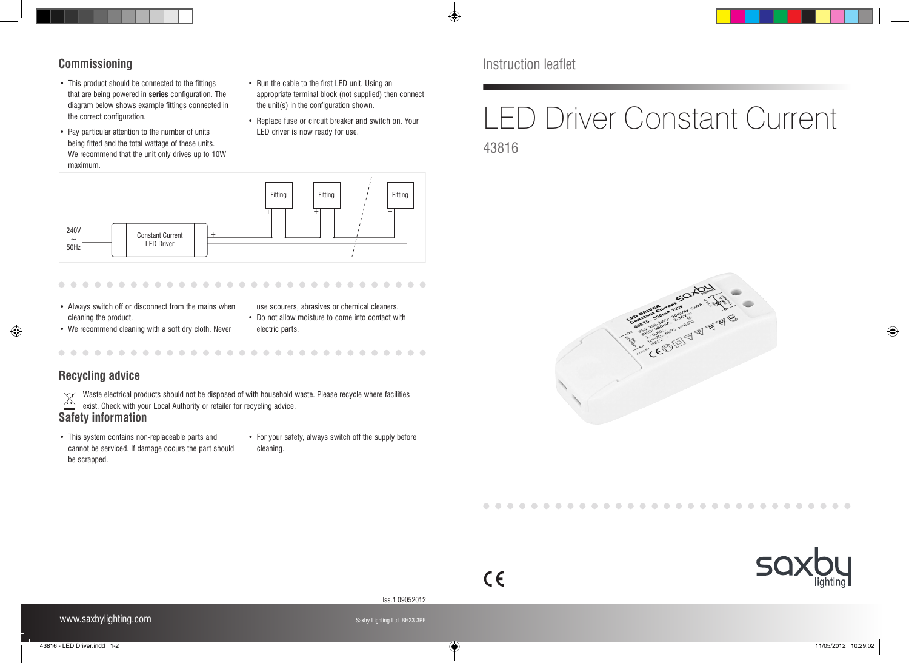

#### **Commissioning**

- This product should be connected to the fittings that are being powered in **series** configuration. The diagram below shows example fittings connected in the correct configuration.
- Pay particular attention to the number of units being fitted and the total wattage of these units. We recommend that the unit only drives up to 10W maximum.
- Run the cable to the first LED unit. Using an appropriate terminal block (not supplied) then connect the unit(s) in the configuration shown.
- Replace fuse or circuit breaker and switch on. Your LED driver is now ready for use.

Instruction leaflet

 $\bigoplus$ 

# LED Driver Constant Current 43816

240V  $\overline{\phantom{0}}$ 50Hz Constant Current LED Driver  $+$ \_ <sup>+</sup> \_ <sup>+</sup> \_ <sup>+</sup> \_ Fitting | Fitting | ' Fitting

• Always switch off or disconnect from the mains when cleaning the product.

use scourers, abrasives or chemical cleaners. • Do not allow moisture to come into contact with

- We recommend cleaning with a soft dry cloth. Never
- electric parts.

## **Recycling advice**

◈

Waste electrical products should not be disposed of with household waste. Please recycle where facilities Waste electrical products should not be disposed of with household v<br>exist. Check with your Local Authority or retailer for recycling advice.

## **Safety information**

- • This system contains non-replaceable parts and cannot be serviced. If damage occurs the part should be scrapped.
- For your safety, always switch off the supply before cleaning.





Iss.1 09052012

 $\epsilon$ 

 $\mathcal{L} = \mathcal{L} \mathcal{L} = \mathcal{L} \mathcal{L}$ 

 $\bigoplus$